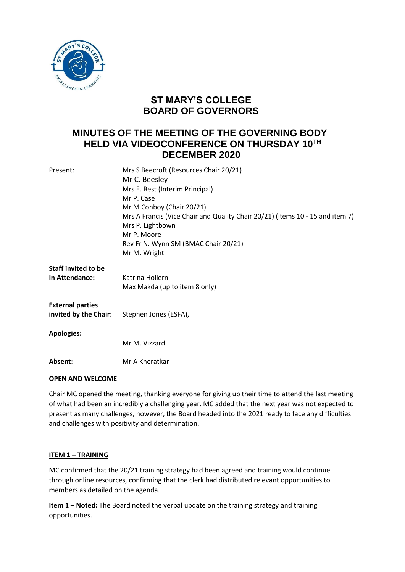

# **ST MARY'S COLLEGE BOARD OF GOVERNORS**

# **MINUTES OF THE MEETING OF THE GOVERNING BODY HELD VIA VIDEOCONFERENCE ON THURSDAY 10TH DECEMBER 2020**

| Present:                   | Mrs S Beecroft (Resources Chair 20/21)                                        |
|----------------------------|-------------------------------------------------------------------------------|
|                            | Mr C. Beesley                                                                 |
|                            | Mrs E. Best (Interim Principal)                                               |
|                            | Mr P. Case                                                                    |
|                            | Mr M Conboy (Chair 20/21)                                                     |
|                            | Mrs A Francis (Vice Chair and Quality Chair 20/21) (items 10 - 15 and item 7) |
|                            | Mrs P. Lightbown                                                              |
|                            | Mr P. Moore                                                                   |
|                            | Rev Fr N. Wynn SM (BMAC Chair 20/21)                                          |
|                            | Mr M. Wright                                                                  |
| <b>Staff invited to be</b> |                                                                               |
| In Attendance:             | Katrina Hollern                                                               |
|                            | Max Makda (up to item 8 only)                                                 |
| <b>External parties</b>    |                                                                               |
| invited by the Chair:      | Stephen Jones (ESFA),                                                         |
| <b>Apologies:</b>          |                                                                               |
|                            | Mr M. Vizzard                                                                 |
| Absent:                    | Mr A Kheratkar                                                                |

# **OPEN AND WELCOME**

Chair MC opened the meeting, thanking everyone for giving up their time to attend the last meeting of what had been an incredibly a challenging year. MC added that the next year was not expected to present as many challenges, however, the Board headed into the 2021 ready to face any difficulties and challenges with positivity and determination.

### **ITEM 1 – TRAINING**

MC confirmed that the 20/21 training strategy had been agreed and training would continue through online resources, confirming that the clerk had distributed relevant opportunities to members as detailed on the agenda.

**Item 1 - Noted:** The Board noted the verbal update on the training strategy and training opportunities.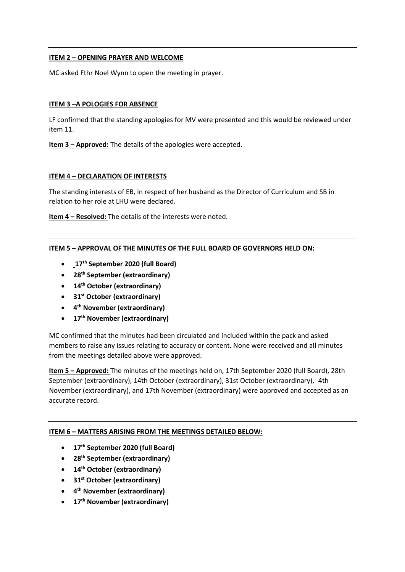# **ITEM 2 – OPENING PRAYER AND WELCOME**

MC asked Fthr Noel Wynn to open the meeting in prayer.

### **ITEM 3 –A POLOGIES FOR ABSENCE**

LF confirmed that the standing apologies for MV were presented and this would be reviewed under item 11.

**Item 3 – Approved:** The details of the apologies were accepted.

#### **ITEM 4 – DECLARATION OF INTERESTS**

The standing interests of EB, in respect of her husband as the Director of Curriculum and SB in relation to her role at LHU were declared.

**Item 4 – Resolved:** The details of the interests were noted.

### **ITEM 5 – APPROVAL OF THE MINUTES OF THE FULL BOARD OF GOVERNORS HELD ON:**

- **17th September 2020 (full Board)**
- **28th September (extraordinary)**
- **14th October (extraordinary)**
- **31st October (extraordinary)**
- **4 th November (extraordinary)**
- **17th November (extraordinary)**

MC confirmed that the minutes had been circulated and included within the pack and asked members to raise any issues relating to accuracy or content. None were received and all minutes from the meetings detailed above were approved.

**Item 5 – Approved:** The minutes of the meetings held on, 17th September 2020 (full Board), 28th September (extraordinary), 14th October (extraordinary), 31st October (extraordinary), 4th November (extraordinary), and 17th November (extraordinary) were approved and accepted as an accurate record.

### **ITEM 6 – MATTERS ARISING FROM THE MEETINGS DETAILED BELOW:**

- **17th September 2020 (full Board)**
- **28th September (extraordinary)**
- **14th October (extraordinary)**
- **31st October (extraordinary)**
- **4 th November (extraordinary)**
- **17th November (extraordinary)**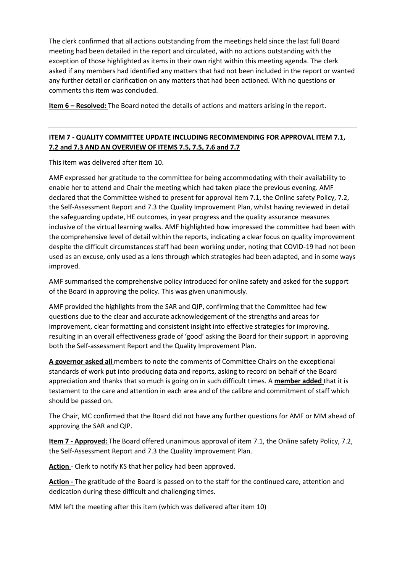The clerk confirmed that all actions outstanding from the meetings held since the last full Board meeting had been detailed in the report and circulated, with no actions outstanding with the exception of those highlighted as items in their own right within this meeting agenda. The clerk asked if any members had identified any matters that had not been included in the report or wanted any further detail or clarification on any matters that had been actioned. With no questions or comments this item was concluded.

**Item 6 – Resolved:** The Board noted the details of actions and matters arising in the report.

# **ITEM 7 - QUALITY COMMITTEE UPDATE INCLUDING RECOMMENDING FOR APPROVAL ITEM 7.1, 7.2 and 7.3 AND AN OVERVIEW OF ITEMS 7.5, 7.5, 7.6 and 7.7**

This item was delivered after item 10.

AMF expressed her gratitude to the committee for being accommodating with their availability to enable her to attend and Chair the meeting which had taken place the previous evening. AMF declared that the Committee wished to present for approval item 7.1, the Online safety Policy, 7.2, the Self-Assessment Report and 7.3 the Quality Improvement Plan, whilst having reviewed in detail the safeguarding update, HE outcomes, in year progress and the quality assurance measures inclusive of the virtual learning walks. AMF highlighted how impressed the committee had been with the comprehensive level of detail within the reports, indicating a clear focus on quality improvement despite the difficult circumstances staff had been working under, noting that COVID-19 had not been used as an excuse, only used as a lens through which strategies had been adapted, and in some ways improved.

AMF summarised the comprehensive policy introduced for online safety and asked for the support of the Board in approving the policy. This was given unanimously.

AMF provided the highlights from the SAR and QIP, confirming that the Committee had few questions due to the clear and accurate acknowledgement of the strengths and areas for improvement, clear formatting and consistent insight into effective strategies for improving, resulting in an overall effectiveness grade of 'good' asking the Board for their support in approving both the Self-assessment Report and the Quality Improvement Plan.

**A governor asked all** members to note the comments of Committee Chairs on the exceptional standards of work put into producing data and reports, asking to record on behalf of the Board appreciation and thanks that so much is going on in such difficult times. A **member added** that it is testament to the care and attention in each area and of the calibre and commitment of staff which should be passed on.

The Chair, MC confirmed that the Board did not have any further questions for AMF or MM ahead of approving the SAR and QIP.

**Item 7 - Approved:** The Board offered unanimous approval of item 7.1, the Online safety Policy, 7.2, the Self-Assessment Report and 7.3 the Quality Improvement Plan.

**Action** - Clerk to notify KS that her policy had been approved.

**Action -** The gratitude of the Board is passed on to the staff for the continued care, attention and dedication during these difficult and challenging times.

MM left the meeting after this item (which was delivered after item 10)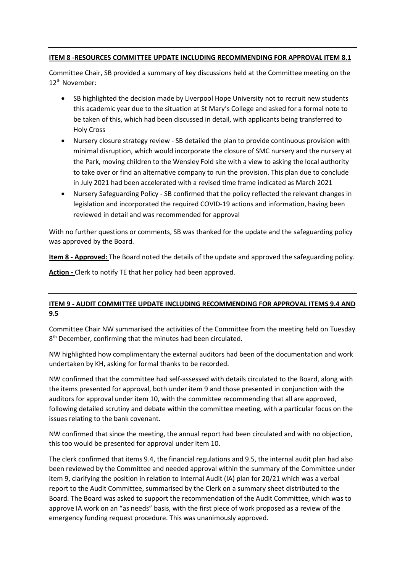# **ITEM 8 -RESOURCES COMMITTEE UPDATE INCLUDING RECOMMENDING FOR APPROVAL ITEM 8.1**

Committee Chair, SB provided a summary of key discussions held at the Committee meeting on the 12th November:

- SB highlighted the decision made by Liverpool Hope University not to recruit new students this academic year due to the situation at St Mary's College and asked for a formal note to be taken of this, which had been discussed in detail, with applicants being transferred to Holy Cross
- Nursery closure strategy review SB detailed the plan to provide continuous provision with minimal disruption, which would incorporate the closure of SMC nursery and the nursery at the Park, moving children to the Wensley Fold site with a view to asking the local authority to take over or find an alternative company to run the provision. This plan due to conclude in July 2021 had been accelerated with a revised time frame indicated as March 2021
- Nursery Safeguarding Policy SB confirmed that the policy reflected the relevant changes in legislation and incorporated the required COVID-19 actions and information, having been reviewed in detail and was recommended for approval

With no further questions or comments, SB was thanked for the update and the safeguarding policy was approved by the Board.

**Item 8 - Approved:** The Board noted the details of the update and approved the safeguarding policy.

**Action -** Clerk to notify TE that her policy had been approved.

# **ITEM 9 - AUDIT COMMITTEE UPDATE INCLUDING RECOMMENDING FOR APPROVAL ITEMS 9.4 AND 9.5**

Committee Chair NW summarised the activities of the Committee from the meeting held on Tuesday 8<sup>th</sup> December, confirming that the minutes had been circulated.

NW highlighted how complimentary the external auditors had been of the documentation and work undertaken by KH, asking for formal thanks to be recorded.

NW confirmed that the committee had self-assessed with details circulated to the Board, along with the items presented for approval, both under item 9 and those presented in conjunction with the auditors for approval under item 10, with the committee recommending that all are approved, following detailed scrutiny and debate within the committee meeting, with a particular focus on the issues relating to the bank covenant.

NW confirmed that since the meeting, the annual report had been circulated and with no objection, this too would be presented for approval under item 10.

The clerk confirmed that items 9.4, the financial regulations and 9.5, the internal audit plan had also been reviewed by the Committee and needed approval within the summary of the Committee under item 9, clarifying the position in relation to Internal Audit (IA) plan for 20/21 which was a verbal report to the Audit Committee, summarised by the Clerk on a summary sheet distributed to the Board. The Board was asked to support the recommendation of the Audit Committee, which was to approve IA work on an "as needs" basis, with the first piece of work proposed as a review of the emergency funding request procedure. This was unanimously approved.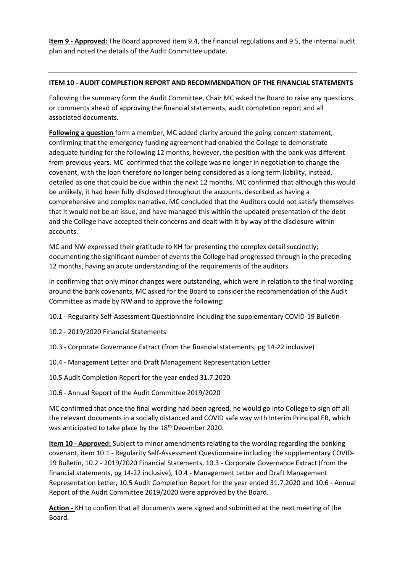**Item 9 - Approved:** The Board approved item 9.4, the financial regulations and 9.5, the internal audit plan and noted the details of the Audit Committee update.

### **ITEM 10 - AUDIT COMPLETION REPORT AND RECOMMENDATION OF THE FINANCIAL STATEMENTS**

Following the summary form the Audit Committee, Chair MC asked the Board to raise any questions or comments ahead of approving the financial statements, audit completion report and all associated documents.

**Following a question** form a member, MC added clarity around the going concern statement, confirming that the emergency funding agreement had enabled the College to demonstrate adequate funding for the following 12 months, however, the position with the bank was different from previous years. MC confirmed that the college was no longer in negotiation to change the covenant, with the loan therefore no longer being considered as a long term liability, instead, detailed as one that could be due within the next 12 months. MC confirmed that although this would be unlikely, it had been fully disclosed throughout the accounts, described as having a comprehensive and complex narrative. MC concluded that the Auditors could not satisfy themselves that it would not be an issue, and have managed this within the updated presentation of the debt and the College have accepted their concerns and dealt with it by way of the disclosure within accounts.

MC and NW expressed their gratitude to KH for presenting the complex detail succinctly; documenting the significant number of events the College had progressed through in the preceding 12 months, having an acute understanding of the requirements of the auditors.

In confirming that only minor changes were outstanding, which were in relation to the final wording around the bank covenants, MC asked for the Board to consider the recommendation of the Audit Committee as made by NW and to approve the following:

- 10.1 Regularity Self-Assessment Questionnaire including the supplementary COVID-19 Bulletin
- 10.2 2019/2020 Financial Statements
- 10.3 Corporate Governance Extract (from the financial statements, pg 14-22 inclusive)
- 10.4 Management Letter and Draft Management Representation Letter
- 10.5 Audit Completion Report for the year ended 31.7.2020
- 10.6 Annual Report of the Audit Committee 2019/2020

MC confirmed that once the final wording had been agreed, he would go into College to sign off all the relevant documents in a socially distanced and COVID safe way with Interim Principal EB, which was anticipated to take place by the 18<sup>th</sup> December 2020.

**Item 10 - Approved:** Subject to minor amendments relating to the wording regarding the banking covenant, item 10.1 - Regularity Self-Assessment Questionnaire including the supplementary COVID-19 Bulletin, 10.2 - 2019/2020 Financial Statements, 10.3 - Corporate Governance Extract (from the financial statements, pg 14-22 inclusive), 10.4 - Management Letter and Draft Management Representation Letter, 10.5 Audit Completion Report for the year ended 31.7.2020 and 10.6 - Annual Report of the Audit Committee 2019/2020 were approved by the Board.

**Action -** KH to confirm that all documents were signed and submitted at the next meeting of the Board.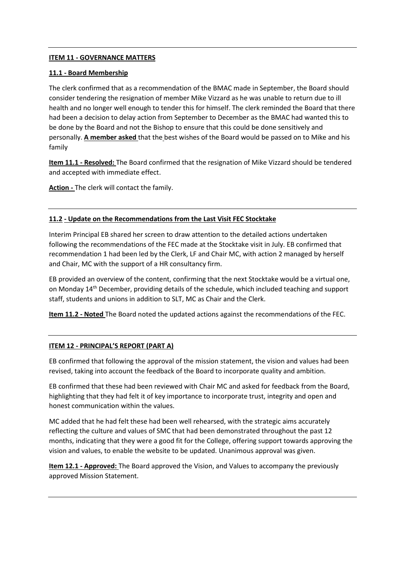### **ITEM 11 - GOVERNANCE MATTERS**

### **11.1 - Board Membership**

The clerk confirmed that as a recommendation of the BMAC made in September, the Board should consider tendering the resignation of member Mike Vizzard as he was unable to return due to ill health and no longer well enough to tender this for himself. The clerk reminded the Board that there had been a decision to delay action from September to December as the BMAC had wanted this to be done by the Board and not the Bishop to ensure that this could be done sensitively and personally. **A member asked** that the best wishes of the Board would be passed on to Mike and his family

**Item 11.1 - Resolved:** The Board confirmed that the resignation of Mike Vizzard should be tendered and accepted with immediate effect.

**Action -** The clerk will contact the family.

### **11.2 - Update on the Recommendations from the Last Visit FEC Stocktake**

Interim Principal EB shared her screen to draw attention to the detailed actions undertaken following the recommendations of the FEC made at the Stocktake visit in July. EB confirmed that recommendation 1 had been led by the Clerk, LF and Chair MC, with action 2 managed by herself and Chair, MC with the support of a HR consultancy firm.

EB provided an overview of the content, confirming that the next Stocktake would be a virtual one, on Monday 14th December, providing details of the schedule, which included teaching and support staff, students and unions in addition to SLT, MC as Chair and the Clerk.

**Item 11.2 - Noted** The Board noted the updated actions against the recommendations of the FEC.

# **ITEM 12 - PRINCIPAL'S REPORT (PART A)**

EB confirmed that following the approval of the mission statement, the vision and values had been revised, taking into account the feedback of the Board to incorporate quality and ambition.

EB confirmed that these had been reviewed with Chair MC and asked for feedback from the Board, highlighting that they had felt it of key importance to incorporate trust, integrity and open and honest communication within the values.

MC added that he had felt these had been well rehearsed, with the strategic aims accurately reflecting the culture and values of SMC that had been demonstrated throughout the past 12 months, indicating that they were a good fit for the College, offering support towards approving the vision and values, to enable the website to be updated. Unanimous approval was given.

**Item 12.1 - Approved:** The Board approved the Vision, and Values to accompany the previously approved Mission Statement.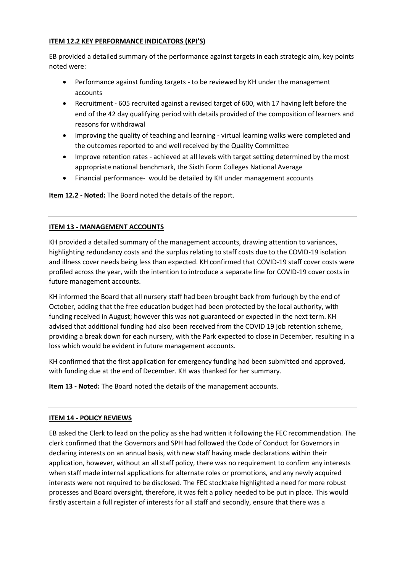# **ITEM 12.2 KEY PERFORMANCE INDICATORS (KPI'S)**

EB provided a detailed summary of the performance against targets in each strategic aim, key points noted were:

- Performance against funding targets to be reviewed by KH under the management accounts
- Recruitment 605 recruited against a revised target of 600, with 17 having left before the end of the 42 day qualifying period with details provided of the composition of learners and reasons for withdrawal
- Improving the quality of teaching and learning virtual learning walks were completed and the outcomes reported to and well received by the Quality Committee
- Improve retention rates achieved at all levels with target setting determined by the most appropriate national benchmark, the Sixth Form Colleges National Average
- Financial performance- would be detailed by KH under management accounts

**Item 12.2 - Noted:** The Board noted the details of the report.

# **ITEM 13 - MANAGEMENT ACCOUNTS**

KH provided a detailed summary of the management accounts, drawing attention to variances, highlighting redundancy costs and the surplus relating to staff costs due to the COVID-19 isolation and illness cover needs being less than expected. KH confirmed that COVID-19 staff cover costs were profiled across the year, with the intention to introduce a separate line for COVID-19 cover costs in future management accounts.

KH informed the Board that all nursery staff had been brought back from furlough by the end of October, adding that the free education budget had been protected by the local authority, with funding received in August; however this was not guaranteed or expected in the next term. KH advised that additional funding had also been received from the COVID 19 job retention scheme, providing a break down for each nursery, with the Park expected to close in December, resulting in a loss which would be evident in future management accounts.

KH confirmed that the first application for emergency funding had been submitted and approved, with funding due at the end of December. KH was thanked for her summary.

**Item 13 - Noted:** The Board noted the details of the management accounts.

# **ITEM 14 - POLICY REVIEWS**

EB asked the Clerk to lead on the policy as she had written it following the FEC recommendation. The clerk confirmed that the Governors and SPH had followed the Code of Conduct for Governors in declaring interests on an annual basis, with new staff having made declarations within their application, however, without an all staff policy, there was no requirement to confirm any interests when staff made internal applications for alternate roles or promotions, and any newly acquired interests were not required to be disclosed. The FEC stocktake highlighted a need for more robust processes and Board oversight, therefore, it was felt a policy needed to be put in place. This would firstly ascertain a full register of interests for all staff and secondly, ensure that there was a